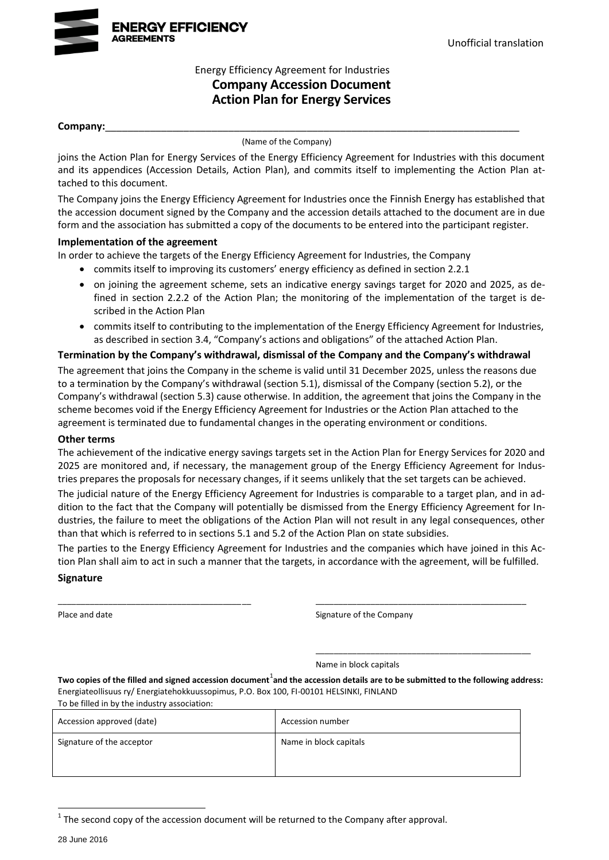

## Energy Efficiency Agreement for Industries **Company Accession Document Action Plan for Energy Services**

#### **Company:**\_\_\_\_\_\_\_\_\_\_\_\_\_\_\_\_\_\_\_\_\_\_\_\_\_\_\_\_\_\_\_\_\_\_\_\_\_\_\_\_\_\_\_\_\_\_\_\_\_\_\_\_\_\_\_\_\_\_\_\_\_\_\_\_\_\_\_\_\_\_\_\_\_\_

(Name of the Company)

joins the Action Plan for Energy Services of the Energy Efficiency Agreement for Industries with this document and its appendices (Accession Details, Action Plan), and commits itself to implementing the Action Plan attached to this document.

The Company joins the Energy Efficiency Agreement for Industries once the Finnish Energy has established that the accession document signed by the Company and the accession details attached to the document are in due form and the association has submitted a copy of the documents to be entered into the participant register.

#### **Implementation of the agreement**

In order to achieve the targets of the Energy Efficiency Agreement for Industries, the Company

- commits itself to improving its customers' energy efficiency as defined in section 2.2.1
- on joining the agreement scheme, sets an indicative energy savings target for 2020 and 2025, as defined in section 2.2.2 of the Action Plan; the monitoring of the implementation of the target is described in the Action Plan
- commits itself to contributing to the implementation of the Energy Efficiency Agreement for Industries, as described in section 3.4, "Company's actions and obligations" of the attached Action Plan.

#### **Termination by the Company's withdrawal, dismissal of the Company and the Company's withdrawal**

The agreement that joins the Company in the scheme is valid until 31 December 2025, unless the reasons due to a termination by the Company's withdrawal (section 5.1), dismissal of the Company (section 5.2), or the Company's withdrawal (section 5.3) cause otherwise. In addition, the agreement that joins the Company in the scheme becomes void if the Energy Efficiency Agreement for Industries or the Action Plan attached to the agreement is terminated due to fundamental changes in the operating environment or conditions.

#### **Other terms**

The achievement of the indicative energy savings targets set in the Action Plan for Energy Services for 2020 and 2025 are monitored and, if necessary, the management group of the Energy Efficiency Agreement for Industries prepares the proposals for necessary changes, if it seems unlikely that the set targets can be achieved.

The judicial nature of the Energy Efficiency Agreement for Industries is comparable to a target plan, and in addition to the fact that the Company will potentially be dismissed from the Energy Efficiency Agreement for Industries, the failure to meet the obligations of the Action Plan will not result in any legal consequences, other than that which is referred to in sections 5.1 and 5.2 of the Action Plan on state subsidies.

The parties to the Energy Efficiency Agreement for Industries and the companies which have joined in this Action Plan shall aim to act in such a manner that the targets, in accordance with the agreement, will be fulfilled.

\_\_\_\_\_\_\_\_\_\_\_\_\_\_\_\_\_\_\_\_\_\_\_\_\_\_\_\_\_\_\_\_\_\_\_\_\_\_\_\_\_\_ \_\_\_\_\_\_\_\_\_\_\_\_\_\_\_\_\_\_\_\_\_\_\_\_\_\_\_\_\_\_\_\_\_\_\_\_\_\_\_\_\_\_\_\_\_\_

#### **Signature**

Place and date **Signature of the Company** 

\_\_\_\_\_\_\_\_\_\_\_\_\_\_\_\_\_\_\_\_\_\_\_\_\_\_\_\_\_\_\_\_\_\_\_\_\_\_\_\_\_\_\_\_\_\_\_

Name in block capitals

Two copies of the filled and signed accession document<sup>1</sup>and the accession details are to be submitted to the following address: Energiateollisuus ry/ Energiatehokkuussopimus, P.O. Box 100, FI-00101 HELSINKI, FINLAND To be filled in by the industry association:

| TO be miled in by the mudstry association. |                        |  |  |
|--------------------------------------------|------------------------|--|--|
| Accession approved (date)                  | Accession number       |  |  |
| Signature of the acceptor                  | Name in block capitals |  |  |
|                                            |                        |  |  |

 $1$  The second copy of the accession document will be returned to the Company after approval.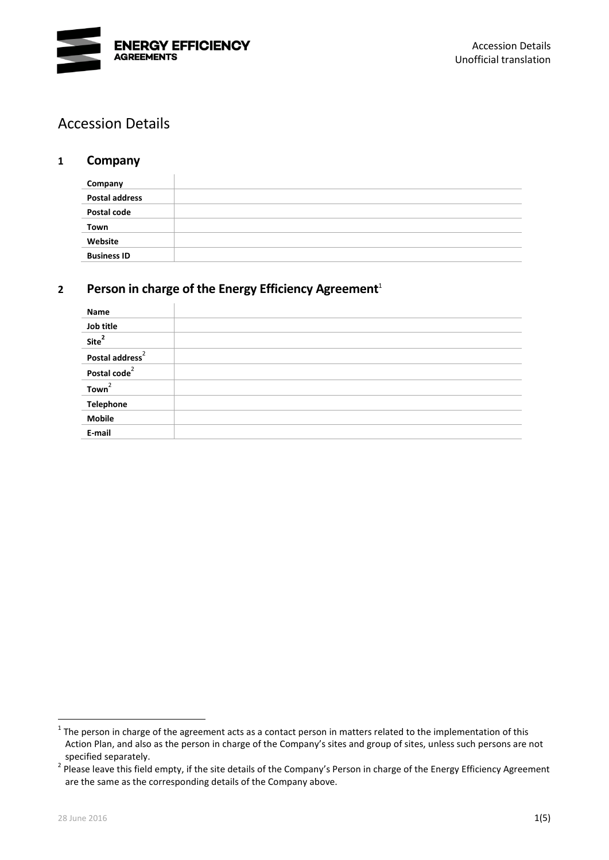

# Accession Details

## **1 Company**

| Company               |  |
|-----------------------|--|
| <b>Postal address</b> |  |
| Postal code           |  |
| Town                  |  |
| Website               |  |
| <b>Business ID</b>    |  |

# **2 Person in charge of the Energy Efficiency Agreement**<sup>1</sup>

<span id="page-1-0"></span>

| Name                        |  |
|-----------------------------|--|
| Job title                   |  |
| Site <sup>2</sup>           |  |
| Postal address <sup>2</sup> |  |
| Postal code <sup>2</sup>    |  |
| Town <sup>2</sup>           |  |
| <b>Telephone</b>            |  |
| <b>Mobile</b>               |  |
| E-mail                      |  |

 $1$  The person in charge of the agreement acts as a contact person in matters related to the implementation of this Action Plan, and also as the person in charge of the Company's sites and group of sites, unless such persons are not specified separately.

<sup>&</sup>lt;sup>2</sup> Please leave this field empty, if the site details of the Company's Person in charge of the Energy Efficiency Agreement are the same as the corresponding details of the Company above.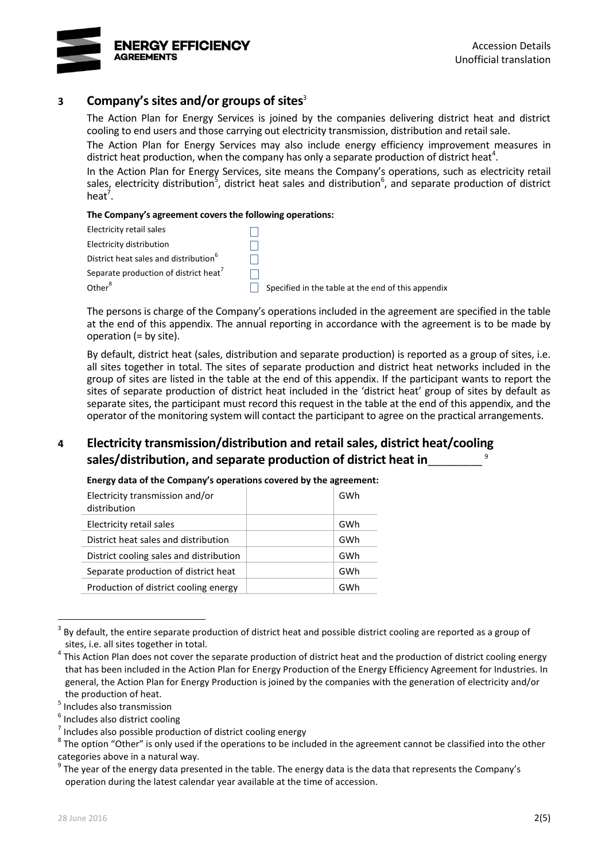

## **3 Company's sites and/or groups of sites**<sup>3</sup>

The Action Plan for Energy Services is joined by the companies delivering district heat and district cooling to end users and those carrying out electricity transmission, distribution and retail sale.

The Action Plan for Energy Services may also include energy efficiency improvement measures in district heat production, when the company has only a separate production of district heat<sup>4</sup>.

<span id="page-2-2"></span><span id="page-2-0"></span>In the Action Plan for Energy Services, site means the Company's operations, such as electricity retail sales, electricity distribution<sup>5</sup>, district heat sales and distribution<sup>6</sup>, and separate production of district heat<sup>7</sup>.

#### <span id="page-2-1"></span>**The Company's agreement covers the following operations:**

| Electricity retail sales                          |                                                    |
|---------------------------------------------------|----------------------------------------------------|
| Electricity distribution                          |                                                    |
| District heat sales and distribution <sup>6</sup> |                                                    |
| Separate production of district heat <sup>7</sup> |                                                    |
| Other <sup>8</sup>                                | Specified in the table at the end of this appendix |

<span id="page-2-3"></span>The persons is charge of the Company's operations included in the agreement are specified in the table at the end of this appendix. The annual reporting in accordance with the agreement is to be made by operation (= by site).

By default, district heat (sales, distribution and separate production) is reported as a group of sites, i.e. all sites together in total. The sites of separate production and district heat networks included in the group of sites are listed in the table at the end of this appendix. If the participant wants to report the sites of separate production of district heat included in the 'district heat' group of sites by default as separate sites, the participant must record this request in the table at the end of this appendix, and the operator of the monitoring system will contact the participant to agree on the practical arrangements.

#### **4 Electricity transmission/distribution and retail sales, district heat/cooling sales/distribution, and separate production of district heat in**\_\_\_\_\_\_\_\_\_\_ 9

| Electricity transmission and/or<br>distribution | GWh |
|-------------------------------------------------|-----|
| Electricity retail sales                        | GWh |
| District heat sales and distribution            | GWh |
| District cooling sales and distribution         | GWh |
| Separate production of district heat            | GWh |
| Production of district cooling energy           | GWh |

**Energy data of the Company's operations covered by the agreement:**

<sup>3</sup> By default, the entire separate production of district heat and possible district cooling are reported as a group of sites, i.e. all sites together in total.

<sup>4</sup> This Action Plan does not cover the separate production of district heat and the production of district cooling energy that has been included in the Action Plan for Energy Production of the Energy Efficiency Agreement for Industries. In general, the Action Plan for Energy Production is joined by the companies with the generation of electricity and/or the production of heat.

<sup>5</sup> Includes also transmission

<sup>&</sup>lt;sup>6</sup> Includes also district cooling

<sup>7</sup> Includes also possible production of district cooling energy

 $8$  The option "Other" is only used if the operations to be included in the agreement cannot be classified into the other categories above in a natural way.

 $^9$  The year of the energy data presented in the table. The energy data is the data that represents the Company's operation during the latest calendar year available at the time of accession.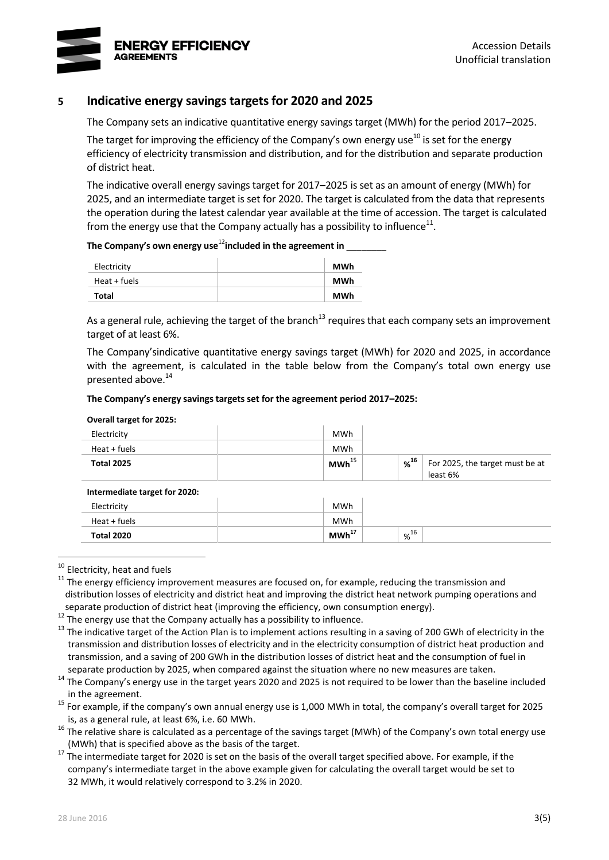

## **5 Indicative energy savings targets for 2020 and 2025**

The Company sets an indicative quantitative energy savings target (MWh) for the period 2017–2025.

The target for improving the efficiency of the Company's own energy use<sup>10</sup> is set for the energy efficiency of electricity transmission and distribution, and for the distribution and separate production of district heat.

The indicative overall energy savings target for 2017–2025 is set as an amount of energy (MWh) for 2025, and an intermediate target is set for 2020. The target is calculated from the data that represents the operation during the latest calendar year available at the time of accession. The target is calculated from the energy use that the Company actually has a possibility to influence<sup>11</sup>.

#### **The Company's own energy use**<sup>12</sup>**included in the agreement in** \_\_\_\_\_\_\_\_

| Electricity  | MWh        |
|--------------|------------|
| Heat + fuels | MWh        |
| Total        | <b>MWh</b> |

As a general rule, achieving the target of the branch<sup>13</sup> requires that each company sets an improvement target of at least 6%.

The Company'sindicative quantitative energy savings target (MWh) for 2020 and 2025, in accordance with the agreement, is calculated in the table below from the Company's total own energy use presented above.<sup>14</sup>

#### **The Company's energy savings targets set for the agreement period 2017–2025:**

#### **Overall target for 2025:**

| Electricity       | <b>MWh</b>          |     |                                             |
|-------------------|---------------------|-----|---------------------------------------------|
| Heat + fuels      | <b>MWh</b>          |     |                                             |
| <b>Total 2025</b> | $MWh$ <sup>15</sup> | %16 | For 2025, the target must be at<br>least 6% |

#### <span id="page-3-0"></span>**Intermediate target for 2020:**

| Electricity  | <b>MWh</b>        |     |  |
|--------------|-------------------|-----|--|
| Heat + fuels | MWh               |     |  |
| Total 2020   | MWh <sup>17</sup> | %16 |  |

<sup>&</sup>lt;sup>10</sup> Electricity, heat and fuels

<u>.</u>

<sup>12</sup> The energy use that the Company actually has a possibility to influence.

<sup>14</sup> The Company's energy use in the target years 2020 and 2025 is not required to be lower than the baseline included in the agreement.

<sup>15</sup> For example, if the company's own annual energy use is 1,000 MWh in total, the company's overall target for 2025 is, as a general rule, at least 6%, i.e. 60 MWh.

 $11$  The energy efficiency improvement measures are focused on, for example, reducing the transmission and distribution losses of electricity and district heat and improving the district heat network pumping operations and separate production of district heat (improving the efficiency, own consumption energy).

<sup>&</sup>lt;sup>13</sup> The indicative target of the Action Plan is to implement actions resulting in a saving of 200 GWh of electricity in the transmission and distribution losses of electricity and in the electricity consumption of district heat production and transmission, and a saving of 200 GWh in the distribution losses of district heat and the consumption of fuel in separate production by 2025, when compared against the situation where no new measures are taken.

 $16$  The relative share is calculated as a percentage of the savings target (MWh) of the Company's own total energy use (MWh) that is specified above as the basis of the target.

 $17$  The intermediate target for 2020 is set on the basis of the overall target specified above. For example, if the company's intermediate target in the above example given for calculating the overall target would be set to 32 MWh, it would relatively correspond to 3.2% in 2020.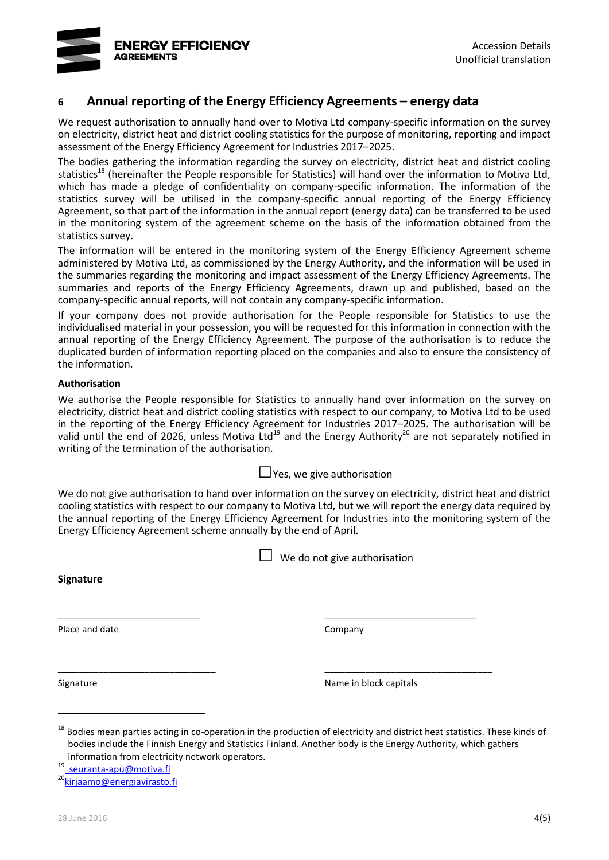

# **6 Annual reporting of the Energy Efficiency Agreements – energy data**

We request authorisation to annually hand over to Motiva Ltd company-specific information on the survey on electricity, district heat and district cooling statistics for the purpose of monitoring, reporting and impact assessment of the Energy Efficiency Agreement for Industries 2017–2025.

The bodies gathering the information regarding the survey on electricity, district heat and district cooling statistics<sup>18</sup> (hereinafter the People responsible for Statistics) will hand over the information to Motiva Ltd. which has made a pledge of confidentiality on company-specific information. The information of the statistics survey will be utilised in the company-specific annual reporting of the Energy Efficiency Agreement, so that part of the information in the annual report (energy data) can be transferred to be used in the monitoring system of the agreement scheme on the basis of the information obtained from the statistics survey.

The information will be entered in the monitoring system of the Energy Efficiency Agreement scheme administered by Motiva Ltd, as commissioned by the Energy Authority, and the information will be used in the summaries regarding the monitoring and impact assessment of the Energy Efficiency Agreements. The summaries and reports of the Energy Efficiency Agreements, drawn up and published, based on the company-specific annual reports, will not contain any company-specific information.

If your company does not provide authorisation for the People responsible for Statistics to use the individualised material in your possession, you will be requested for this information in connection with the annual reporting of the Energy Efficiency Agreement. The purpose of the authorisation is to reduce the duplicated burden of information reporting placed on the companies and also to ensure the consistency of the information.

#### **Authorisation**

We authorise the People responsible for Statistics to annually hand over information on the survey on electricity, district heat and district cooling statistics with respect to our company, to Motiva Ltd to be used in the reporting of the Energy Efficiency Agreement for Industries 2017–2025. The authorisation will be valid until the end of 2026, unless Motiva Ltd<sup>19</sup> and the Energy Authority<sup>20</sup> are not separately notified in writing of the termination of the authorisation.

 $\Box$  Yes, we give authorisation

We do not give authorisation to hand over information on the survey on electricity, district heat and district cooling statistics with respect to our company to Motiva Ltd, but we will report the energy data required by the annual reporting of the Energy Efficiency Agreement for Industries into the monitoring system of the Energy Efficiency Agreement scheme annually by the end of April.

\_\_\_\_\_\_\_\_\_\_\_\_\_\_\_\_\_\_\_\_\_\_\_\_\_\_\_\_\_\_\_ \_\_\_\_\_\_\_\_\_\_\_\_\_\_\_\_\_\_\_\_\_\_\_\_\_\_\_\_\_\_\_\_\_

\_\_\_\_\_\_\_\_\_\_\_\_\_\_\_\_\_\_\_\_\_\_\_\_\_\_\_\_\_\_\_ \_\_\_\_\_\_\_\_\_\_\_\_\_\_\_\_\_\_\_\_\_\_\_\_\_\_\_\_\_\_\_\_\_

 $\Box$  We do not give authorisation

**Signature**

Place and date Company

1

Signature **Name in block capitals** Signature **Name in block capitals** 

<sup>18</sup> Bodies mean parties acting in co-operation in the production of electricity and district heat statistics. These kinds of bodies include the Finnish Energy and Statistics Finland. Another body is the Energy Authority, which gathers information from electricity network operators.

19 seuranta-apu@motiva.fi

<sup>20</sup>[kirjaamo@energiavirasto.fi](mailto:kirjaamo@energiavirasto.fi)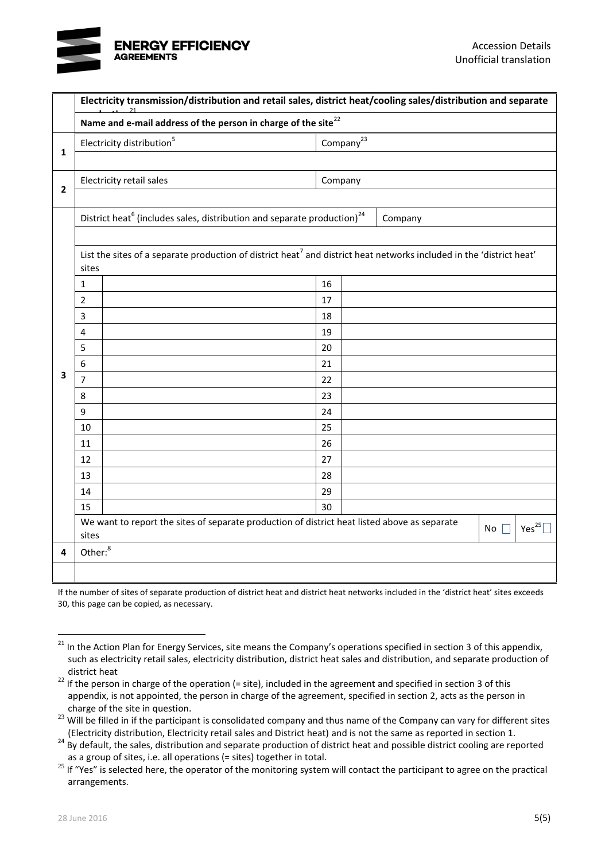# **ENERGY EFFICIENCY AGDEEMENTS**

|                         | Electricity transmission/distribution and retail sales, district heat/cooling sales/distribution and separate |                                                                                                                                  |         |                 |         |             |  |
|-------------------------|---------------------------------------------------------------------------------------------------------------|----------------------------------------------------------------------------------------------------------------------------------|---------|-----------------|---------|-------------|--|
|                         | Name and e-mail address of the person in charge of the site <sup>22</sup>                                     |                                                                                                                                  |         |                 |         |             |  |
| $\mathbf{1}$            | Electricity distribution <sup>5</sup>                                                                         |                                                                                                                                  |         | Company $^{23}$ |         |             |  |
|                         |                                                                                                               |                                                                                                                                  |         |                 |         |             |  |
| $\overline{\mathbf{2}}$ |                                                                                                               | Electricity retail sales                                                                                                         | Company |                 |         |             |  |
|                         |                                                                                                               | District heat <sup>6</sup> (includes sales, distribution and separate production) <sup>24</sup>                                  |         |                 | Company |             |  |
|                         |                                                                                                               |                                                                                                                                  |         |                 |         |             |  |
|                         | sites                                                                                                         | List the sites of a separate production of district heat <sup>7</sup> and district heat networks included in the 'district heat' |         |                 |         |             |  |
|                         | $\mathbf{1}$                                                                                                  |                                                                                                                                  | 16      |                 |         |             |  |
|                         | $\overline{2}$                                                                                                |                                                                                                                                  | 17      |                 |         |             |  |
|                         | 3                                                                                                             |                                                                                                                                  | 18      |                 |         |             |  |
|                         | 4                                                                                                             |                                                                                                                                  | 19      |                 |         |             |  |
|                         | 5                                                                                                             |                                                                                                                                  | 20      |                 |         |             |  |
|                         | 6                                                                                                             |                                                                                                                                  | 21      |                 |         |             |  |
| 3                       | $\overline{7}$                                                                                                |                                                                                                                                  | 22      |                 |         |             |  |
|                         | 8                                                                                                             |                                                                                                                                  | 23      |                 |         |             |  |
|                         | 9                                                                                                             |                                                                                                                                  | 24      |                 |         |             |  |
|                         | 10                                                                                                            |                                                                                                                                  | 25      |                 |         |             |  |
|                         | 11                                                                                                            |                                                                                                                                  | 26      |                 |         |             |  |
|                         | 12                                                                                                            |                                                                                                                                  | 27      |                 |         |             |  |
|                         | 13                                                                                                            |                                                                                                                                  | 28      |                 |         |             |  |
|                         | 14                                                                                                            |                                                                                                                                  | 29      |                 |         |             |  |
|                         | 15                                                                                                            |                                                                                                                                  | 30      |                 |         |             |  |
|                         | sites                                                                                                         | We want to report the sites of separate production of district heat listed above as separate<br>No                               |         |                 |         | Yes $^{25}$ |  |
| 4                       | Other: <sup>8</sup>                                                                                           |                                                                                                                                  |         |                 |         |             |  |
|                         |                                                                                                               |                                                                                                                                  |         |                 |         |             |  |

If the number of sites of separate production of district heat and district heat networks included in the 'district heat' sites exceeds 30, this page can be copied, as necessary.

<sup>&</sup>lt;sup>21</sup> In the Action Plan for Energy Services, site means the Company's operations specified in section 3 of this appendix, such as electricity retail sales, electricity distribution, district heat sales and distribution, and separate production of district heat

 $22$  If the person in charge of the operation (= site), included in the agreement and specified in section 3 of this appendix, is not appointed, the person in charge of the agreement, specified in section 2, acts as the person in charge of the site in question.

<sup>&</sup>lt;sup>23</sup> Will be filled in if the participant is consolidated company and thus name of the Company can vary for different sites (Electricity distribution, Electricity retail sales and District heat) and is not the same as reported in section 1.

 $24$  By default, the sales, distribution and separate production of district heat and possible district cooling are reported as a group of sites, i.e. all operations (= sites) together in total.

<sup>&</sup>lt;sup>25</sup> If "Yes" is selected here, the operator of the monitoring system will contact the participant to agree on the practical arrangements.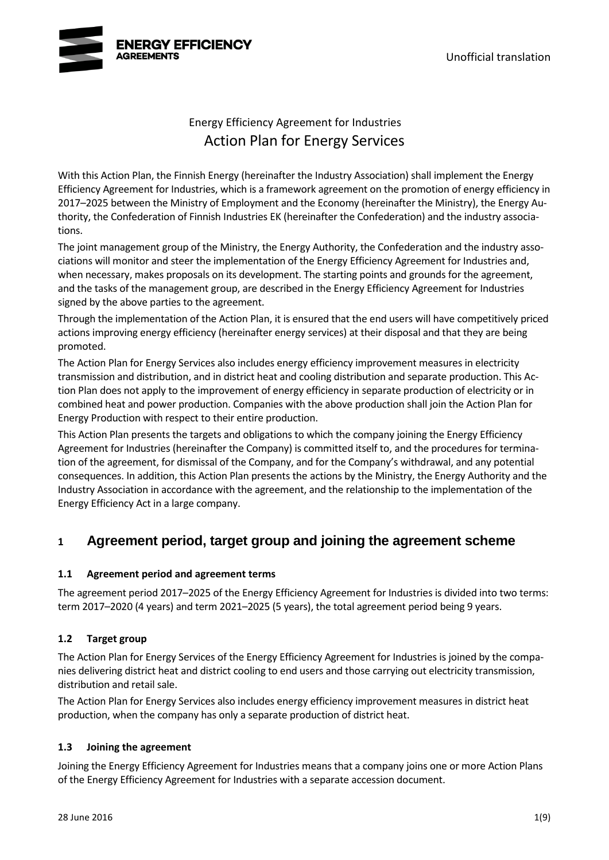

# Energy Efficiency Agreement for Industries Action Plan for Energy Services

With this Action Plan, the Finnish Energy (hereinafter the Industry Association) shall implement the Energy Efficiency Agreement for Industries, which is a framework agreement on the promotion of energy efficiency in 2017–2025 between the Ministry of Employment and the Economy (hereinafter the Ministry), the Energy Authority, the Confederation of Finnish Industries EK (hereinafter the Confederation) and the industry associations.

The joint management group of the Ministry, the Energy Authority, the Confederation and the industry associations will monitor and steer the implementation of the Energy Efficiency Agreement for Industries and, when necessary, makes proposals on its development. The starting points and grounds for the agreement, and the tasks of the management group, are described in the Energy Efficiency Agreement for Industries signed by the above parties to the agreement.

Through the implementation of the Action Plan, it is ensured that the end users will have competitively priced actions improving energy efficiency (hereinafter energy services) at their disposal and that they are being promoted.

The Action Plan for Energy Services also includes energy efficiency improvement measures in electricity transmission and distribution, and in district heat and cooling distribution and separate production. This Action Plan does not apply to the improvement of energy efficiency in separate production of electricity or in combined heat and power production. Companies with the above production shall join the Action Plan for Energy Production with respect to their entire production.

This Action Plan presents the targets and obligations to which the company joining the Energy Efficiency Agreement for Industries (hereinafter the Company) is committed itself to, and the procedures for termination of the agreement, for dismissal of the Company, and for the Company's withdrawal, and any potential consequences. In addition, this Action Plan presents the actions by the Ministry, the Energy Authority and the Industry Association in accordance with the agreement, and the relationship to the implementation of the Energy Efficiency Act in a large company.

# **1 Agreement period, target group and joining the agreement scheme**

## **1.1 Agreement period and agreement terms**

The agreement period 2017–2025 of the Energy Efficiency Agreement for Industries is divided into two terms: term 2017–2020 (4 years) and term 2021–2025 (5 years), the total agreement period being 9 years.

# **1.2 Target group**

The Action Plan for Energy Services of the Energy Efficiency Agreement for Industries is joined by the companies delivering district heat and district cooling to end users and those carrying out electricity transmission, distribution and retail sale.

The Action Plan for Energy Services also includes energy efficiency improvement measures in district heat production, when the company has only a separate production of district heat.

## **1.3 Joining the agreement**

Joining the Energy Efficiency Agreement for Industries means that a company joins one or more Action Plans of the Energy Efficiency Agreement for Industries with a separate accession document.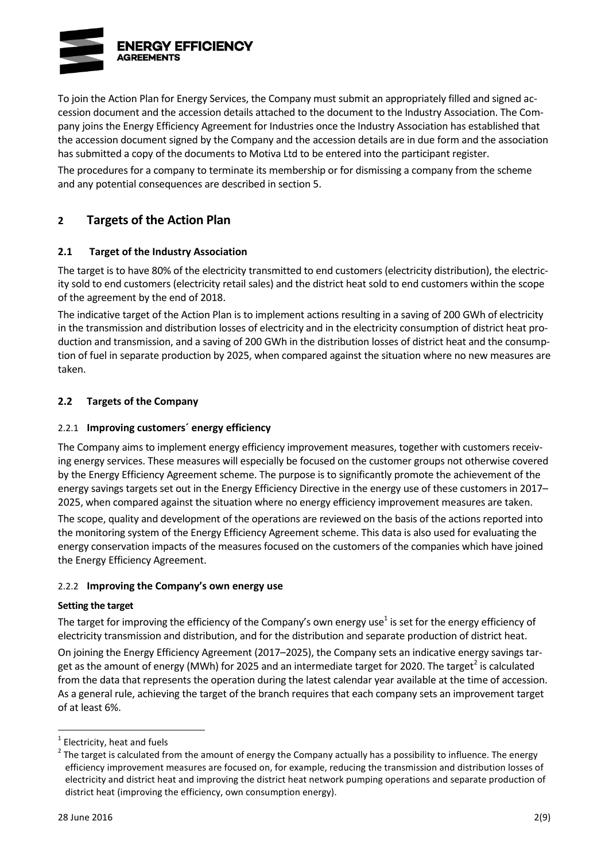

To join the Action Plan for Energy Services, the Company must submit an appropriately filled and signed accession document and the accession details attached to the document to the Industry Association. The Company joins the Energy Efficiency Agreement for Industries once the Industry Association has established that the accession document signed by the Company and the accession details are in due form and the association has submitted a copy of the documents to Motiva Ltd to be entered into the participant register.

The procedures for a company to terminate its membership or for dismissing a company from the scheme and any potential consequences are described in section 5.

# **2 Targets of the Action Plan**

## **2.1 Target of the Industry Association**

The target is to have 80% of the electricity transmitted to end customers (electricity distribution), the electricity sold to end customers (electricity retail sales) and the district heat sold to end customers within the scope of the agreement by the end of 2018.

The indicative target of the Action Plan is to implement actions resulting in a saving of 200 GWh of electricity in the transmission and distribution losses of electricity and in the electricity consumption of district heat production and transmission, and a saving of 200 GWh in the distribution losses of district heat and the consumption of fuel in separate production by 2025, when compared against the situation where no new measures are taken.

## **2.2 Targets of the Company**

### 2.2.1 **Improving customers´ energy efficiency**

The Company aims to implement energy efficiency improvement measures, together with customers receiving energy services. These measures will especially be focused on the customer groups not otherwise covered by the Energy Efficiency Agreement scheme. The purpose is to significantly promote the achievement of the energy savings targets set out in the Energy Efficiency Directive in the energy use of these customers in 2017– 2025, when compared against the situation where no energy efficiency improvement measures are taken.

The scope, quality and development of the operations are reviewed on the basis of the actions reported into the monitoring system of the Energy Efficiency Agreement scheme. This data is also used for evaluating the energy conservation impacts of the measures focused on the customers of the companies which have joined the Energy Efficiency Agreement.

### 2.2.2 **Improving the Company's own energy use**

### **Setting the target**

<span id="page-7-0"></span>The target for improving the efficiency of the Company's own energy use<sup>1</sup> is set for the energy efficiency of electricity transmission and distribution, and for the distribution and separate production of district heat.

On joining the Energy Efficiency Agreement (2017–2025), the Company sets an indicative energy savings target as the amount of energy (MWh) for 2025 and an intermediate target for 2020. The target<sup>2</sup> is calculated from the data that represents the operation during the latest calendar year available at the time of accession. As a general rule, achieving the target of the branch requires that each company sets an improvement target of at least 6%.

 $1$  Electricity, heat and fuels

 $2$  The target is calculated from the amount of energy the Company actually has a possibility to influence. The energy efficiency improvement measures are focused on, for example, reducing the transmission and distribution losses of electricity and district heat and improving the district heat network pumping operations and separate production of district heat (improving the efficiency, own consumption energy).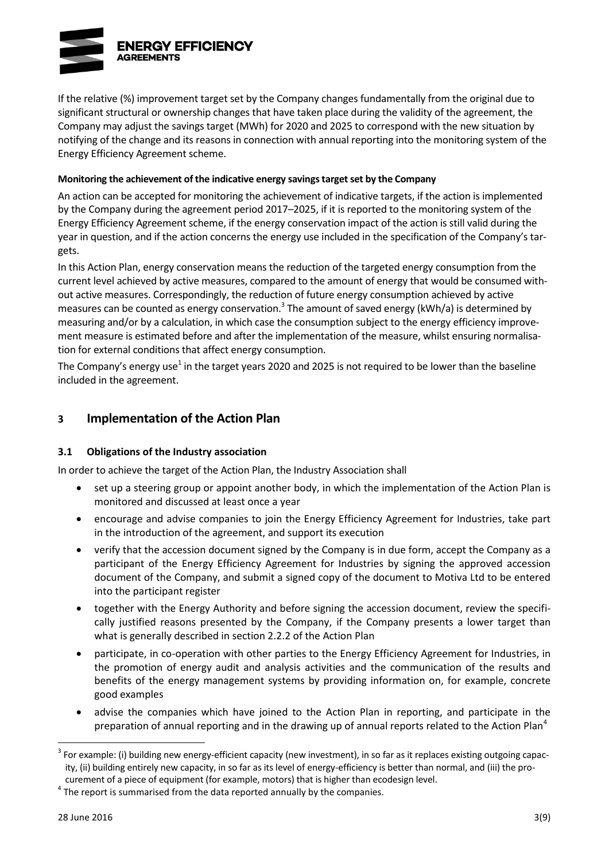

If the relative (%) improvement target set by the Company changes fundamentally from the original due to significant structural or ownership changes that have taken place during the validity of the agreement, the Company may adjust the savings target (MWh) for 2020 and 2025 to correspond with the new situation by notifying of the change and its reasons in connection with annual reporting into the monitoring system of the Energy Efficiency Agreement scheme.

### **Monitoring the achievement of the indicative energy savings target set by the Company**

An action can be accepted for monitoring the achievement of indicative targets, if the action is implemented by the Company during the agreement period 2017–2025, if it is reported to the monitoring system of the Energy Efficiency Agreement scheme, if the energy conservation impact of the action is still valid during the year in question, and if the action concerns the energy use included in the specification of the Company's targets.

In this Action Plan, energy conservation means the reduction of the targeted energy consumption from the current level achieved by active measures, compared to the amount of energy that would be consumed without active measures. Correspondingly, the reduction of future energy consumption achieved by active measures can be counted as energy conservation.<sup>3</sup> The amount of saved energy (kWh/a) is determined by measuring and/or by a calculation, in which case the consumption subject to the energy efficiency improvement measure is estimated before and after the implementation of the measure, whilst ensuring normalisation for external conditions that affect energy consumption.

The Company's energy use<sup>[1](#page-7-0)</sup> in the target years 2020 and 2025 is not required to be lower than the baseline included in the agreement.

# **3 Implementation of the Action Plan**

### **3.1 Obligations of the Industry association**

In order to achieve the target of the Action Plan, the Industry Association shall

- set up a steering group or appoint another body, in which the implementation of the Action Plan is monitored and discussed at least once a year
- encourage and advise companies to join the Energy Efficiency Agreement for Industries, take part in the introduction of the agreement, and support its execution
- verify that the accession document signed by the Company is in due form, accept the Company as a participant of the Energy Efficiency Agreement for Industries by signing the approved accession document of the Company, and submit a signed copy of the document to Motiva Ltd to be entered into the participant register
- together with the Energy Authority and before signing the accession document, review the specifically justified reasons presented by the Company, if the Company presents a lower target than what is generally described in section 2.2.2 of the Action Plan
- participate, in co-operation with other parties to the Energy Efficiency Agreement for Industries, in the promotion of energy audit and analysis activities and the communication of the results and benefits of the energy management systems by providing information on, for example, concrete good examples
- <span id="page-8-0"></span> advise the companies which have joined to the Action Plan in reporting, and participate in the preparation of annual reporting and in the drawing up of annual reports related to the Action Plan<sup>4</sup>

 $3$  For example: (i) building new energy-efficient capacity (new investment), in so far as it replaces existing outgoing capacity, (ii) building entirely new capacity, in so far as its level of energy-efficiency is better than normal, and (iii) the procurement of a piece of equipment (for example, motors) that is higher than ecodesign level.

 $<sup>4</sup>$  The report is summarised from the data reported annually by the companies.</sup>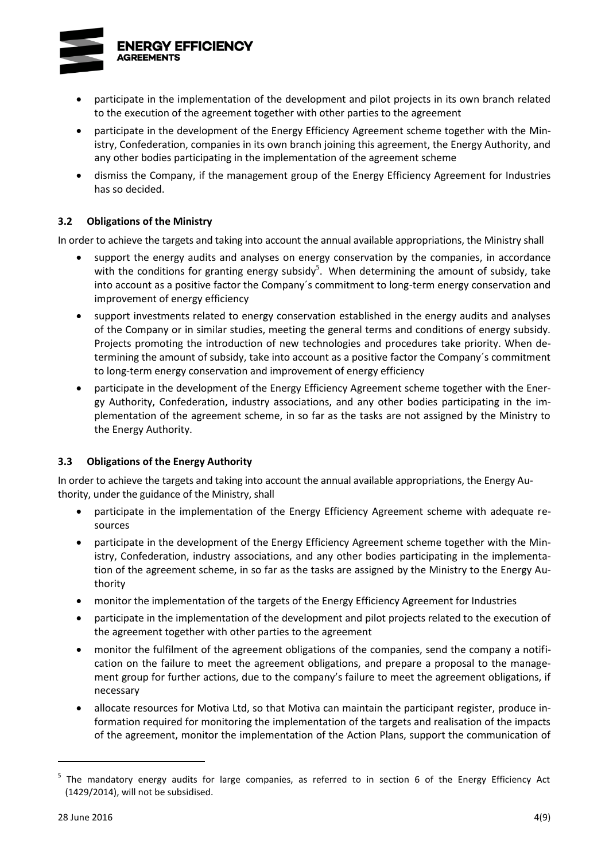

- participate in the implementation of the development and pilot projects in its own branch related to the execution of the agreement together with other parties to the agreement
- participate in the development of the Energy Efficiency Agreement scheme together with the Ministry, Confederation, companies in its own branch joining this agreement, the Energy Authority, and any other bodies participating in the implementation of the agreement scheme
- dismiss the Company, if the management group of the Energy Efficiency Agreement for Industries has so decided.

## **3.2 Obligations of the Ministry**

In order to achieve the targets and taking into account the annual available appropriations, the Ministry shall

- support the energy audits and analyses on energy conservation by the companies, in accordance with the conditions for granting energy subsidy<sup>5</sup>. When determining the amount of subsidy, take into account as a positive factor the Company´s commitment to long-term energy conservation and improvement of energy efficiency
- support investments related to energy conservation established in the energy audits and analyses of the Company or in similar studies, meeting the general terms and conditions of energy subsidy. Projects promoting the introduction of new technologies and procedures take priority. When determining the amount of subsidy, take into account as a positive factor the Company´s commitment to long-term energy conservation and improvement of energy efficiency
- participate in the development of the Energy Efficiency Agreement scheme together with the Energy Authority, Confederation, industry associations, and any other bodies participating in the implementation of the agreement scheme, in so far as the tasks are not assigned by the Ministry to the Energy Authority.

### **3.3 Obligations of the Energy Authority**

In order to achieve the targets and taking into account the annual available appropriations, the Energy Authority, under the guidance of the Ministry, shall

- participate in the implementation of the Energy Efficiency Agreement scheme with adequate resources
- participate in the development of the Energy Efficiency Agreement scheme together with the Ministry, Confederation, industry associations, and any other bodies participating in the implementation of the agreement scheme, in so far as the tasks are assigned by the Ministry to the Energy Authority
- monitor the implementation of the targets of the Energy Efficiency Agreement for Industries
- participate in the implementation of the development and pilot projects related to the execution of the agreement together with other parties to the agreement
- monitor the fulfilment of the agreement obligations of the companies, send the company a notification on the failure to meet the agreement obligations, and prepare a proposal to the management group for further actions, due to the company's failure to meet the agreement obligations, if necessary
- allocate resources for Motiva Ltd, so that Motiva can maintain the participant register, produce information required for monitoring the implementation of the targets and realisation of the impacts of the agreement, monitor the implementation of the Action Plans, support the communication of

<sup>&</sup>lt;sup>5</sup> The mandatory energy audits for large companies, as referred to in section 6 of the Energy Efficiency Act (1429/2014), will not be subsidised.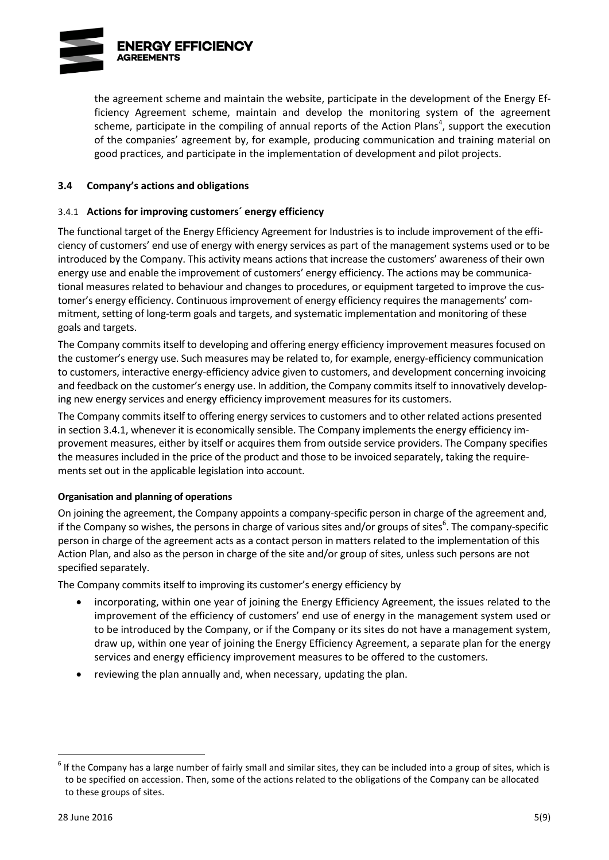

the agreement scheme and maintain the website, participate in the development of the Energy Efficiency Agreement scheme, maintain and develop the monitoring system of the agreement scheme[,](#page-8-0) participate in the compiling of annual reports of the Action Plans<sup>4</sup>, support the execution of the companies' agreement by, for example, producing communication and training material on good practices, and participate in the implementation of development and pilot projects.

### **3.4 Company's actions and obligations**

### 3.4.1 **Actions for improving customers´ energy efficiency**

The functional target of the Energy Efficiency Agreement for Industries is to include improvement of the efficiency of customers' end use of energy with energy services as part of the management systems used or to be introduced by the Company. This activity means actions that increase the customers' awareness of their own energy use and enable the improvement of customers' energy efficiency. The actions may be communicational measures related to behaviour and changes to procedures, or equipment targeted to improve the customer's energy efficiency. Continuous improvement of energy efficiency requires the managements' commitment, setting of long-term goals and targets, and systematic implementation and monitoring of these goals and targets.

The Company commits itself to developing and offering energy efficiency improvement measures focused on the customer's energy use. Such measures may be related to, for example, energy-efficiency communication to customers, interactive energy-efficiency advice given to customers, and development concerning invoicing and feedback on the customer's energy use. In addition, the Company commits itself to innovatively developing new energy services and energy efficiency improvement measures for its customers.

The Company commits itself to offering energy services to customers and to other related actions presented in section 3.4.1, whenever it is economically sensible. The Company implements the energy efficiency improvement measures, either by itself or acquires them from outside service providers. The Company specifies the measures included in the price of the product and those to be invoiced separately, taking the requirements set out in the applicable legislation into account.

### **Organisation and planning of operations**

On joining the agreement, the Company appoints a company-specific person in charge of the agreement and, if the Company so wishes, the persons in charge of various sites and/or groups of sites<sup>6</sup>. The company-specific person in charge of the agreement acts as a contact person in matters related to the implementation of this Action Plan, and also as the person in charge of the site and/or group of sites, unless such persons are not specified separately.

The Company commits itself to improving its customer's energy efficiency by

- <span id="page-10-0"></span> incorporating, within one year of joining the Energy Efficiency Agreement, the issues related to the improvement of the efficiency of customers' end use of energy in the management system used or to be introduced by the Company, or if the Company or its sites do not have a management system, draw up, within one year of joining the Energy Efficiency Agreement, a separate plan for the energy services and energy efficiency improvement measures to be offered to the customers.
- reviewing the plan annually and, when necessary, updating the plan.

 $^6$  If the Company has a large number of fairly small and similar sites, they can be included into a group of sites, which is to be specified on accession. Then, some of the actions related to the obligations of the Company can be allocated to these groups of sites.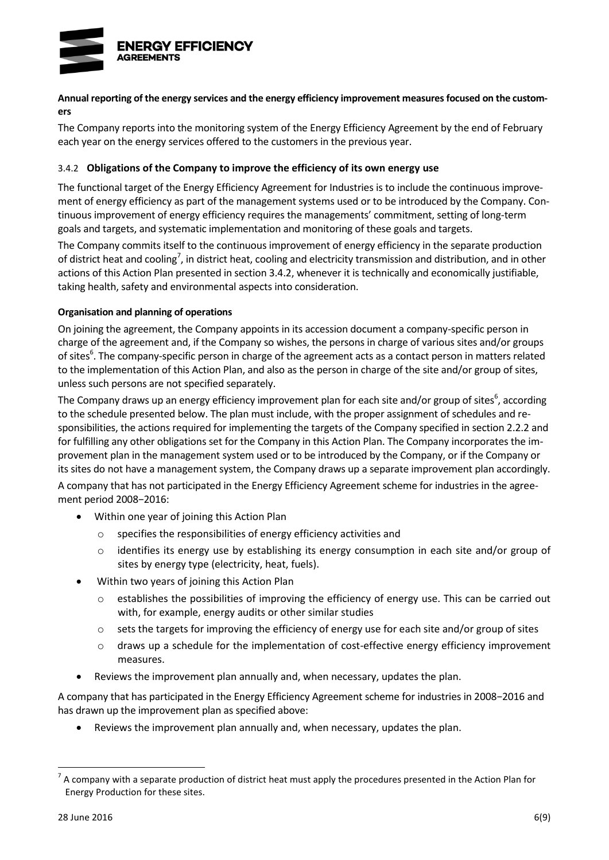

### **Annual reporting of the energy services and the energy efficiency improvement measures focused on the customers**

The Company reports into the monitoring system of the Energy Efficiency Agreement by the end of February each year on the energy services offered to the customers in the previous year.

### 3.4.2 **Obligations of the Company to improve the efficiency of its own energy use**

The functional target of the Energy Efficiency Agreement for Industries is to include the continuous improvement of energy efficiency as part of the management systems used or to be introduced by the Company. Continuous improvement of energy efficiency requires the managements' commitment, setting of long-term goals and targets, and systematic implementation and monitoring of these goals and targets.

The Company commits itself to the continuous improvement of energy efficiency in the separate production of district heat and cooling<sup>7</sup>, in district heat, cooling and electricity transmission and distribution, and in other actions of this Action Plan presented in section 3.4.2, whenever it is technically and economically justifiable, taking health, safety and environmental aspects into consideration.

## **Organisation and planning of operations**

On joining the agreement, the Company appoints in its accession document a company-specific person in charge of the agreement and, if the Company so wishes, the persons in charge of various sites and/or groups of sites<sup>6</sup>[.](#page-10-0) The company-specific person in charge of the agreement acts as a contact person in matters related to the implementation of this Action Plan, and also as the person in charge of the site and/or group of sites, unless such persons are not specified separately.

The Company draw[s](#page-10-0) up an energy efficiency improvement plan for each site and/or group of sites<sup>6</sup>, according to the schedule presented below. The plan must include, with the proper assignment of schedules and responsibilities, the actions required for implementing the targets of the Company specified in section 2.2.2 and for fulfilling any other obligations set for the Company in this Action Plan. The Company incorporates the improvement plan in the management system used or to be introduced by the Company, or if the Company or its sites do not have a management system, the Company draws up a separate improvement plan accordingly.

A company that has not participated in the Energy Efficiency Agreement scheme for industries in the agreement period 2008−2016:

- Within one year of joining this Action Plan
	- o specifies the responsibilities of energy efficiency activities and
	- o identifies its energy use by establishing its energy consumption in each site and/or group of sites by energy type (electricity, heat, fuels).
- Within two years of joining this Action Plan
	- $\circ$  establishes the possibilities of improving the efficiency of energy use. This can be carried out with, for example, energy audits or other similar studies
	- o sets the targets for improving the efficiency of energy use for each site and/or group of sites
	- o draws up a schedule for the implementation of cost-effective energy efficiency improvement measures.
- Reviews the improvement plan annually and, when necessary, updates the plan.

A company that has participated in the Energy Efficiency Agreement scheme for industries in 2008−2016 and has drawn up the improvement plan as specified above:

Reviews the improvement plan annually and, when necessary, updates the plan.

 $^7$  A company with a separate production of district heat must apply the procedures presented in the Action Plan for Energy Production for these sites.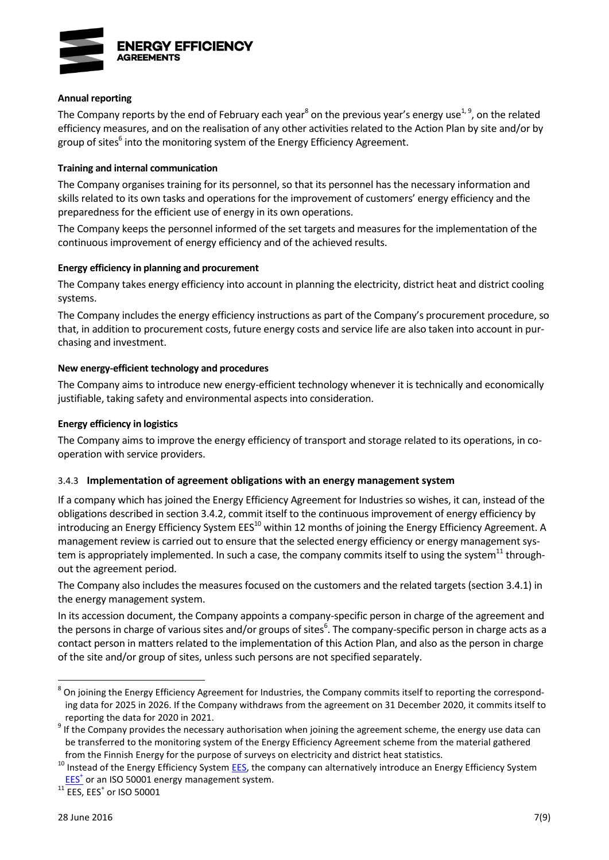

#### **Annual reporting**

<span id="page-12-1"></span><span id="page-12-0"></span>The Company reports by the end of February each year<sup>8</sup> on the previous year's energy use<sup>[1,](#page-7-0) 9</sup>, on the related efficiency measures, and on the realisation of any other activities related to the Action Plan by site and/or by group of [s](#page-10-0)ites<sup>6</sup> into the monitoring system of the Energy Efficiency Agreement.

#### **Training and internal communication**

The Company organises training for its personnel, so that its personnel has the necessary information and skills related to its own tasks and operations for the improvement of customers' energy efficiency and the preparedness for the efficient use of energy in its own operations.

The Company keeps the personnel informed of the set targets and measures for the implementation of the continuous improvement of energy efficiency and of the achieved results.

#### **Energy efficiency in planning and procurement**

The Company takes energy efficiency into account in planning the electricity, district heat and district cooling systems.

The Company includes the energy efficiency instructions as part of the Company's procurement procedure, so that, in addition to procurement costs, future energy costs and service life are also taken into account in purchasing and investment.

#### **New energy-efficient technology and procedures**

The Company aims to introduce new energy-efficient technology whenever it is technically and economically justifiable, taking safety and environmental aspects into consideration.

#### **Energy efficiency in logistics**

The Company aims to improve the energy efficiency of transport and storage related to its operations, in cooperation with service providers.

### 3.4.3 **Implementation of agreement obligations with an energy management system**

If a company which has joined the Energy Efficiency Agreement for Industries so wishes, it can, instead of the obligations described in section 3.4.2, commit itself to the continuous improvement of energy efficiency by introducing an Energy Efficiency System EES<sup>10</sup> within 12 months of joining the Energy Efficiency Agreement. A management review is carried out to ensure that the selected energy efficiency or energy management system is appropriately implemented. In such a case, the company commits itself to using the system<sup>11</sup> throughout the agreement period.

The Company also includes the measures focused on the customers and the related targets (section 3.4.1) in the energy management system.

In its accession document, the Company appoints a company-specific person in charge of the agreement and the persons in charge of various sites and/or groups of sites<sup>6</sup>[.](#page-10-0) The company-specific person in charge acts as a contact person in matters related to the implementation of this Action Plan, and also as the person in charge of the site and/or group of sites, unless such persons are not specified separately.

 $^{11}$  EES, EES<sup>+</sup> or ISO 50001

<sup>&</sup>lt;sup>8</sup> On joining the Energy Efficiency Agreement for Industries, the Company commits itself to reporting the corresponding data for 2025 in 2026. If the Company withdraws from the agreement on 31 December 2020, it commits itself to reporting the data for 2020 in 2021.

 $9$  If the Company provides the necessary authorisation when joining the agreement scheme, the energy use data can be transferred to the monitoring system of the Energy Efficiency Agreement scheme from the material gathered from the Finnish Energy for the purpose of surveys on electricity and district heat statistics.

<sup>&</sup>lt;sup>10</sup> Instead of the Energy Efficiency System **EES**, the company can alternatively introduce an Energy Efficiency System [EES](http://motiva.fi/toimialueet/energiakatselmustoiminta/pakollinen_suuren_yrityksen_energiakatselmus/energiatehokkuusjarjestelma_etj)<sup>+</sup> or an ISO 50001 energy management system.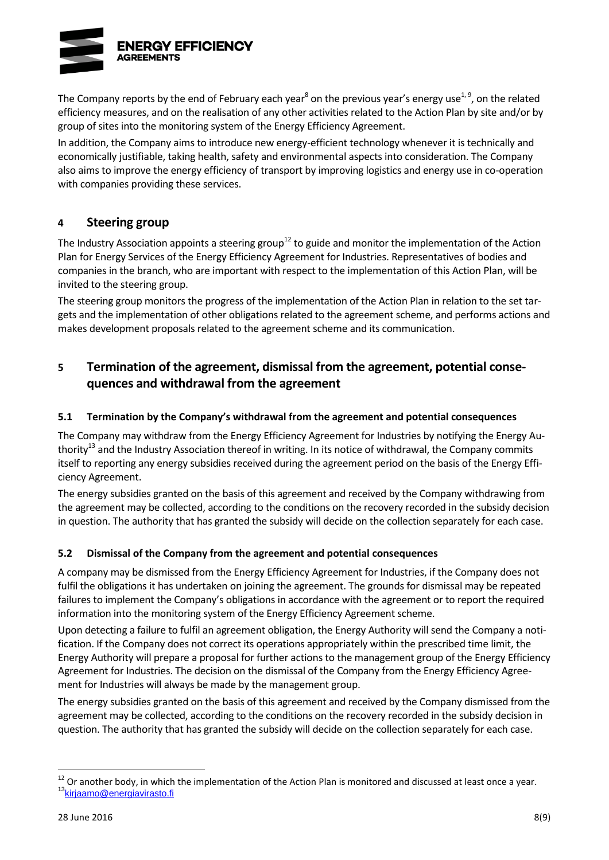

The Company reports by the end of February each year $^8$  $^8$  on the previous year's energy use<sup>[1,](#page-7-0) [9](#page-12-1)</sup>, on the related efficiency measures, and on the realisation of any other activities related to the Action Plan by site and/or by group of sites into the monitoring system of the Energy Efficiency Agreement.

In addition, the Company aims to introduce new energy-efficient technology whenever it is technically and economically justifiable, taking health, safety and environmental aspects into consideration. The Company also aims to improve the energy efficiency of transport by improving logistics and energy use in co-operation with companies providing these services.

## **4 Steering group**

The Industry Association appoints a steering group<sup>12</sup> to guide and monitor the implementation of the Action Plan for Energy Services of the Energy Efficiency Agreement for Industries. Representatives of bodies and companies in the branch, who are important with respect to the implementation of this Action Plan, will be invited to the steering group.

The steering group monitors the progress of the implementation of the Action Plan in relation to the set targets and the implementation of other obligations related to the agreement scheme, and performs actions and makes development proposals related to the agreement scheme and its communication.

# **5 Termination of the agreement, dismissal from the agreement, potential consequences and withdrawal from the agreement**

## **5.1 Termination by the Company's withdrawal from the agreement and potential consequences**

<span id="page-13-0"></span>The Company may withdraw from the Energy Efficiency Agreement for Industries by notifying the Energy Authority<sup>13</sup> and the Industry Association thereof in writing. In its notice of withdrawal, the Company commits itself to reporting any energy subsidies received during the agreement period on the basis of the Energy Efficiency Agreement.

The energy subsidies granted on the basis of this agreement and received by the Company withdrawing from the agreement may be collected, according to the conditions on the recovery recorded in the subsidy decision in question. The authority that has granted the subsidy will decide on the collection separately for each case.

## **5.2 Dismissal of the Company from the agreement and potential consequences**

A company may be dismissed from the Energy Efficiency Agreement for Industries, if the Company does not fulfil the obligations it has undertaken on joining the agreement. The grounds for dismissal may be repeated failures to implement the Company's obligations in accordance with the agreement or to report the required information into the monitoring system of the Energy Efficiency Agreement scheme.

Upon detecting a failure to fulfil an agreement obligation, the Energy Authority will send the Company a notification. If the Company does not correct its operations appropriately within the prescribed time limit, the Energy Authority will prepare a proposal for further actions to the management group of the Energy Efficiency Agreement for Industries. The decision on the dismissal of the Company from the Energy Efficiency Agreement for Industries will always be made by the management group.

The energy subsidies granted on the basis of this agreement and received by the Company dismissed from the agreement may be collected, according to the conditions on the recovery recorded in the subsidy decision in question. The authority that has granted the subsidy will decide on the collection separately for each case.

 $12$  Or another body, in which the implementation of the Action Plan is monitored and discussed at least once a year. <sup>13</sup>[kirjaamo@energiavirasto.fi](mailto:kirjaamo@energiavirasto.fi)